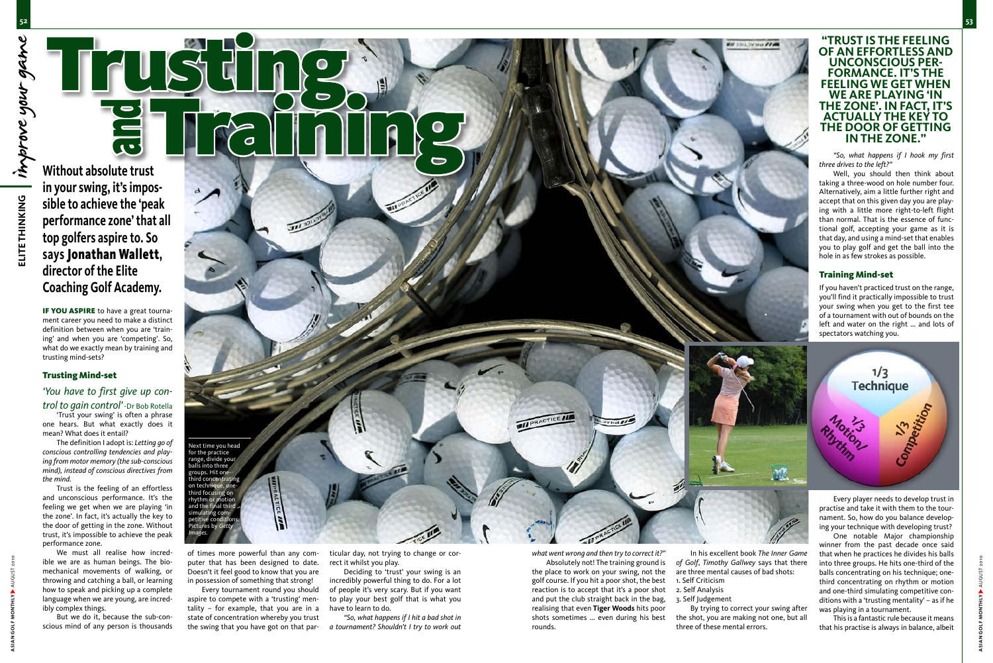IF YOU ASPIRE to have a great tournament career you need to make a distinct definition between when you are 'training' and when you are 'competing'. So, what do we exactly mean by training and trusting mind-sets?

#### Trusting Mind-set

## *'You have to first give up control to gain control'* -Dr Bob Rotella

'Trust your swing' is often a phrase one hears. But what exactly does it mean? What does it entail?

The definition I adopt is: *Letting go of conscious controlling tendencies and playing from motor memory (the sub-conscious mind), instead of conscious directives from the mind.*

Trust is the feeling of an effortless and unconscious performance. It's the feeling we get when we are playing 'in the zone'. In fact, it's actually the key to the door of getting in the zone. Without trust, it's impossible to achieve the peak performance zone.

We must all realise how incredible we are as human beings. The biomechanical movements of walking, or throwing and catching a ball, or learning how to speak and picking up a complete language when we are young, are incredibly complex things.

But we do it, because the sub-conscious mind of any person is thousands

**Without absolute trust in your swing, it's impossible to achieve the 'peak performance zone' that all top golfers aspire to. So says** Jonathan Wallett**, director of the Elite Coaching Golf Academy.**

> of times more powerful than any computer that has been designed to date. Doesn't it feel good to know that you are in possession of something that strong!

> Every tournament round you should aspire to compete with a 'trusting' mentality – for example, that you are in a state of concentration whereby you trust the swing that you have got on that par-

ticular day, not trying to change or correct it whilst you play.

Deciding to 'trust' your swing is an incredibly powerful thing to do. For a lot of people it's very scary. But if you want to play your best golf that is what you have to learn to do.

*"So, what happens if I hit a bad shot in a tournament? Shouldn't I try to work out* 

*what went wrong and then try to correct it?"*  Absolutely not! The training ground is the place to work on your swing, not the golf course. If you hit a poor shot, the best reaction is to accept that it's a poor shot and put the club straight back in the bag, realising that even **Tiger Woods** hits poor shots sometimes ... even during his best rounds.

In his excellent book *The Inner Game of Golf*, *Timothy Gallwey* says that there are three mental causes of bad shots: 1. Self Criticism 2. Self Analysis 3. Self Judgement By trying to correct your swing after the shot, you are making not one, but all three of these mental errors.

winner from the past decade once said that when he practices he divides his balls into three groups. He hits one-third of the balls concentrating on his technique; onethird concentrating on rhythm or motion and one-third simulating competitive conditions with a 'trusting mentality' – as if he was playing in a tournament.



This is a fantastic rule because it means that his practise is always in balance, albeit